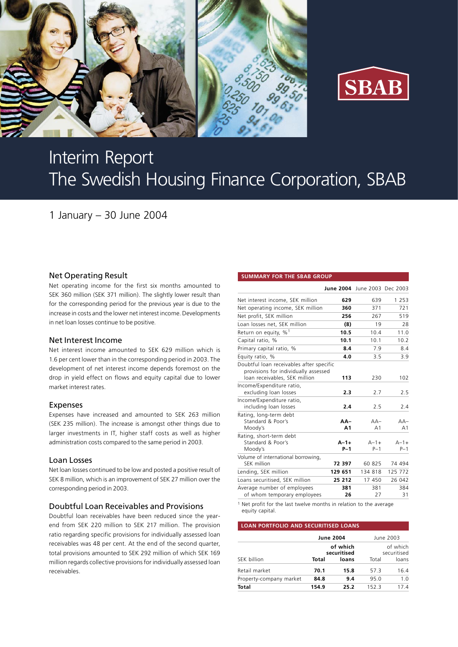



# Interim Report The Swedish Housing Finance Corporation, SBAB

1 January – 30 June 2004

## Net Operating Result

Net operating income for the first six months amounted to SEK 360 million (SEK 371 million). The slightly lower result than for the corresponding period for the previous year is due to the increase in costs and the lower net interest income. Developments in net loan losses continue to be positive.

#### Net Interest Income

Net interest income amounted to SEK 629 million which is 1.6 per cent lower than in the corresponding period in 2003. The development of net interest income depends foremost on the drop in yield effect on flows and equity capital due to lower market interest rates.

## Expenses

Expenses have increased and amounted to SEK 263 million (SEK 235 million). The increase is amongst other things due to larger investments in IT, higher staff costs as well as higher administration costs compared to the same period in 2003.

#### Loan Losses

Net loan losses continued to be low and posted a positive result of SEK 8 million, which is an improvement of SEK 27 million over the corresponding period in 2003.

## Doubtful Loan Receivables and Provisions

Doubtful loan receivables have been reduced since the yearend from SEK 220 million to SEK 217 million. The provision ratio regarding specific provisions for individually assessed loan receivables was 48 per cent. At the end of the second quarter, total provisions amounted to SEK 292 million of which SEK 169 million regards collective provisions for individually assessed loan receivables.

#### **SUMMARY FOR THE SBAB GROUP**

|                                                                                                                   |                       | June 2004 June 2003 Dec 2003 |                         |
|-------------------------------------------------------------------------------------------------------------------|-----------------------|------------------------------|-------------------------|
| Net interest income, SEK million                                                                                  | 629                   | 639                          | 1 2 5 3                 |
| Net operating income, SEK million                                                                                 | 360                   | 371                          | 721                     |
| Net profit, SEK million                                                                                           | 256                   | 267                          | 519                     |
| Loan losses net, SEK million                                                                                      | (8)                   | 19                           | 28                      |
| Return on equity, $\%$ <sup>1</sup>                                                                               | 10.5                  | 10.4                         | 11.0                    |
| Capital ratio, %                                                                                                  | 10.1                  | 10.1                         | 10.2                    |
| Primary capital ratio, %                                                                                          | 8.4                   | 7.9                          | 8.4                     |
| Equity ratio, %                                                                                                   | 4.0                   | 3.5                          | 3.9                     |
| Doubtful loan receivables after specific<br>provisions for individually assessed<br>loan receivables, SEK million | 113                   | 230                          | 102                     |
| Income/Expenditure ratio,<br>excluding loan losses                                                                | 2.3                   | 2.7                          | 2.5                     |
| Income/Expenditure ratio,<br>including loan losses                                                                | 2.4                   | 2.5                          | 2.4                     |
| Rating, long-term debt<br>Standard & Poor's<br>Moody's                                                            | AA-<br>A <sub>1</sub> | $AA-$<br>A <sub>1</sub>      | $AA-$<br>A <sub>1</sub> |
| Rating, short-term debt<br>Standard & Poor's<br>Moody's                                                           | $A - 1 +$<br>$P-1$    | $A - 1 +$<br>$P-1$           | $A - 1 +$<br>$P-1$      |
| Volume of international borrowing,<br>SEK million                                                                 | 72 397                | 60 825                       | 74 494                  |
| Lending, SEK million                                                                                              | 129 651               | 134 818                      | 125 772                 |
| Loans securitised, SEK million                                                                                    | 25 212                | 17 450                       | 26 042                  |
| Average number of employees<br>of whom temporary employees                                                        | 381<br>26             | 381<br>27                    | 384<br>31               |

1 Net profit for the last twelve months in relation to the average equity capital.

#### **LOAN PORTFOLIO AND SECURITISED LOANS**

|                         |       | <b>June 2004</b>        | June 2003 |                         |  |
|-------------------------|-------|-------------------------|-----------|-------------------------|--|
|                         |       | of which<br>securitised |           | of which<br>securitised |  |
| SEK billion             | Total | loans                   | Total     | loans                   |  |
| Retail market           | 70.1  | 15.8                    | 57.3      | 16.4                    |  |
| Property-company market | 84.8  | 9.4                     | 95.0      | 1.0                     |  |
| Total                   | 154.9 | 25.2                    | 152.3     | 174                     |  |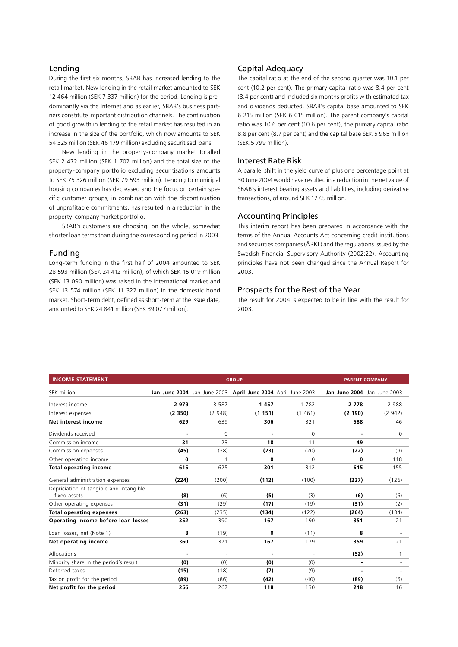#### Lending

During the first six months, SBAB has increased lending to the retail market. New lending in the retail market amounted to SEK 12 464 million (SEK 7 337 million) for the period. Lending is predominantly via the Internet and as earlier, SBAB's business partners constitute important distribution channels. The continuation of good growth in lending to the retail market has resulted in an increase in the size of the portfolio, which now amounts to SEK 54 325 million (SEK 46 179 million) excluding securitised loans.

New lending in the property-company market totalled SEK 2 472 million (SEK 1 702 million) and the total size of the property-company portfolio excluding securitisations amounts to SEK 75 326 million (SEK 79 593 million). Lending to municipal housing companies has decreased and the focus on certain specific customer groups, in combination with the discontinuation of unprofitable commitments, has resulted in a reduction in the property-company market portfolio.

SBAB's customers are choosing, on the whole, somewhat shorter loan terms than during the corresponding period in 2003.

#### Funding

Long-term funding in the first half of 2004 amounted to SEK 28 593 million (SEK 24 412 million), of which SEK 15 019 million (SEK 13 090 million) was raised in the international market and SEK 13 574 million (SEK 11 322 million) in the domestic bond market. Short-term debt, defined as short-term at the issue date, amounted to SEK 24 841 million (SEK 39 077 million).

#### Capital Adequacy

The capital ratio at the end of the second quarter was 10.1 per cent (10.2 per cent). The primary capital ratio was 8.4 per cent (8.4 per cent) and included six months profits with estimated tax and dividends deducted. SBAB's capital base amounted to SEK 6 215 million (SEK 6 015 million). The parent company's capital ratio was 10.6 per cent (10.6 per cent), the primary capital ratio 8.8 per cent (8.7 per cent) and the capital base SEK 5 965 million (SEK 5 799 million).

#### Interest Rate Risk

A parallel shift in the yield curve of plus one percentage point at 30 June 2004 would have resulted in a reduction in the net value of SBAB's interest bearing assets and liabilities, including derivative transactions, of around SEK 127.5 million.

## Accounting Principles

This interim report has been prepared in accordance with the terms of the Annual Accounts Act concerning credit institutions and securities companies (ÅRKL) and the regulations issued by the Swedish Financial Supervisory Authority (2002:22). Accounting principles have not been changed since the Annual Report for 2003.

## Prospects for the Rest of the Year

The result for 2004 is expected to be in line with the result for 2003.

| <b>INCOME STATEMENT</b>                                 |                | <b>GROUP</b> | <b>PARENT COMPANY</b>                                       |          |                             |                          |
|---------------------------------------------------------|----------------|--------------|-------------------------------------------------------------|----------|-----------------------------|--------------------------|
| SEK million                                             |                |              | Jan-June 2004 Jan-June 2003 April-June 2004 April-June 2003 |          | Jan-June 2004 Jan-June 2003 |                          |
| Interest income                                         | 2979           | 3 5 8 7      | 1457                                                        | 1 7 8 2  | 2 7 7 8                     | 2 988                    |
| Interest expenses                                       | (2350)         | (2948)       | (1151)                                                      | (1461)   | (2 190)                     | (2942)                   |
| Net interest income                                     | 629            | 639          | 306                                                         | 321      | 588                         | 46                       |
| Dividends received                                      |                | 0            | $\overline{a}$                                              | 0        |                             | 0                        |
| Commission income                                       | 31             | 23           | 18                                                          | 11       | 49                          |                          |
| Commission expenses                                     | (45)           | (38)         | (23)                                                        | (20)     | (22)                        | (9)                      |
| Other operating income                                  | 0              |              | 0                                                           | $\Omega$ | 0                           | 118                      |
| <b>Total operating income</b>                           | 615            | 625          | 301                                                         | 312      | 615                         | 155                      |
| General administration expenses                         | (224)          | (200)        | (112)                                                       | (100)    | (227)                       | (126)                    |
| Depriciation of tangible and intangible<br>fixed assets | (8)            | (6)          | (5)                                                         | (3)      | (6)                         | (6)                      |
| Other operating expenses                                | (31)           | (29)         | (17)                                                        | (19)     | (31)                        | (2)                      |
| <b>Total operating expenses</b>                         | (263)          | (235)        | (134)                                                       | (122)    | (264)                       | (134)                    |
| Operating income before loan losses                     | 352            | 390          | 167                                                         | 190      | 351                         | 21                       |
| Loan losses, net (Note 1)                               | 8              | (19)         | 0                                                           | (11)     | 8                           |                          |
| Net operating income                                    | 360            | 371          | 167                                                         | 179      | 359                         | 21                       |
| Allocations                                             | $\overline{a}$ | ä,           | $\blacksquare$                                              | ÷.       | (52)                        | 1                        |
| Minority share in the period's result                   | (0)            | (0)          | (0)                                                         | (0)      | $\blacksquare$              | $\overline{\phantom{a}}$ |
| Deferred taxes                                          | (15)           | (18)         | (7)                                                         | (9)      |                             |                          |
| Tax on profit for the period                            | (89)           | (86)         | (42)                                                        | (40)     | (89)                        | (6)                      |
| Net profit for the period                               | 256            | 267          | 118                                                         | 130      | 218                         | 16                       |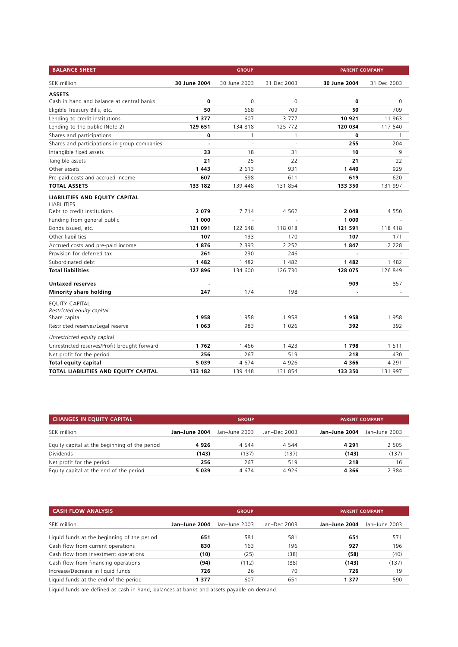| <b>BALANCE SHEET</b>                                                                |                | <b>GROUP</b> |             | <b>PARENT COMPANY</b> |             |
|-------------------------------------------------------------------------------------|----------------|--------------|-------------|-----------------------|-------------|
| SEK million                                                                         | 30 June 2004   | 30 June 2003 | 31 Dec 2003 | 30 June 2004          | 31 Dec 2003 |
| <b>ASSETS</b>                                                                       |                |              |             |                       |             |
| Cash in hand and balance at central banks                                           | 0              | $\mathbf 0$  | $\mathbf 0$ | 0                     | 0           |
| Eligible Treasury Bills, etc.                                                       | 50             | 668          | 709         | 50                    | 709         |
| Lending to credit institutions                                                      | 1 3 7 7        | 607          | 3777        | 10 921                | 11 963      |
| Lending to the public (Note 2)                                                      | 129 651        | 134 818      | 125 772     | 120 034               | 117 540     |
| Shares and participations                                                           | 0              | 1            | 1           | 0                     | 1           |
| Shares and participations in group companies                                        | $\overline{a}$ | ä,           | L.          | 255                   | 204         |
| Intangible fixed assets                                                             | 33             | 18           | 31          | 10                    | 9           |
| Tangible assets                                                                     | 21             | 25           | 22          | 21                    | 22          |
| Other assets                                                                        | 1 4 4 3        | 2 6 1 3      | 931         | 1 4 4 0               | 929         |
| Pre-paid costs and accrued income                                                   | 607            | 698          | 611         | 619                   | 620         |
| TOTAL ASSETS                                                                        | 133 182        | 139 448      | 131 854     | 133 350               | 131 997     |
| LIABILITIES AND EQUITY CAPITAL<br><b>LIABILITIES</b><br>Debt to credit institutions | 2079           | 7 7 1 4      | 4 5 6 2     | 2 0 4 8               | 4 5 5 0     |
| Funding from general public                                                         | 1 000          |              |             | 1 000                 |             |
| Bonds issued, etc.                                                                  | 121 091        | 122 648      | 118 018     | 121 591               | 118 418     |
| Other liabilities                                                                   | 107            | 133          | 170         | 107                   | 171         |
| Accrued costs and pre-paid income                                                   | 1876           | 2 3 9 3      | 2 2 5 2     | 1847                  | 2 2 2 8     |
| Provision for deferred tax                                                          | 261            | 230          | 246         | $\overline{a}$        |             |
| Subordinated debt                                                                   | 1 4 8 2        | 1 482        | 1 482       | 1482                  | 1 4 8 2     |
| <b>Total liabilities</b>                                                            | 127 896        | 134 600      | 126 730     | 128 075               | 126 849     |
|                                                                                     |                |              |             |                       |             |
| <b>Untaxed reserves</b>                                                             | 247            | 174          | 198         | 909                   | 857         |
| Minority share holding                                                              |                |              |             |                       |             |
| EQUITY CAPITAL                                                                      |                |              |             |                       |             |
| Restricted equity capital                                                           | 1958           | 1958         | 1958        | 1958                  | 1958        |
| Share capital<br>Restricted reserves/Legal reserve                                  | 1 0 6 3        | 983          | 1 0 2 6     | 392                   | 392         |
|                                                                                     |                |              |             |                       |             |
| Unrestricted equity capital                                                         |                |              |             |                       |             |
| Unrestricted reserves/Profit brought forward                                        | 1762           | 1466         | 1 4 2 3     | 1798                  | 1 5 1 1     |
| Net profit for the period                                                           | 256            | 267          | 519         | 218                   | 430         |
| <b>Total equity capital</b>                                                         | 5 0 3 9        | 4674         | 4926        | 4 3 6 6               | 4 2 9 1     |
| TOTAL LIABILITIES AND EQUITY CAPITAL                                                | 133 182        | 139 448      | 131 854     | 133 350               | 131 997     |

| <b>CHANGES IN EQUITY CAPITAL</b>              |               | <b>GROUP</b>  | <b>PARENT COMPANY</b> |               |               |  |
|-----------------------------------------------|---------------|---------------|-----------------------|---------------|---------------|--|
| SEK million                                   | Jan-June 2004 | Jan-June 2003 | Jan-Dec 2003          | Jan-June 2004 | Jan-June 2003 |  |
| Equity capital at the beginning of the period | 4926          | 4 5 4 4       | 4 5 4 4               | 4 2 9 1       | 2 5 0 5       |  |
| <b>Dividends</b>                              | (143)         | (137)         | (137)                 | (143)         | (137)         |  |
| Net profit for the period                     | 256           | 267           | 519                   | 218           | 16            |  |
| Equity capital at the end of the period       | 5039          | 4 674         | 4 9 2 6               | 4366          | 2 3 8 4       |  |

|               | <b>GROUP</b>  | <b>PARENT COMPANY</b> |               |               |  |  |
|---------------|---------------|-----------------------|---------------|---------------|--|--|
| Jan-June 2004 | Jan-June 2003 | Jan-Dec 2003          | Jan-June 2004 | Jan-June 2003 |  |  |
| 651           | 581           | 581                   | 651           | 571           |  |  |
| 830           | 163           | 196                   | 927           | 196           |  |  |
| (10)          | (25)          | (38)                  | (58)          | (40)          |  |  |
| (94)          | (112)         | (88)                  | (143)         | (137)         |  |  |
| 726           | 26            | 70                    | 726           | 19            |  |  |
| 1377          | 607           | 651                   | 1 3 7 7       | 590           |  |  |
|               |               |                       |               |               |  |  |

Liquid funds are defined as cash in hand, balances at banks and assets payable on demand.